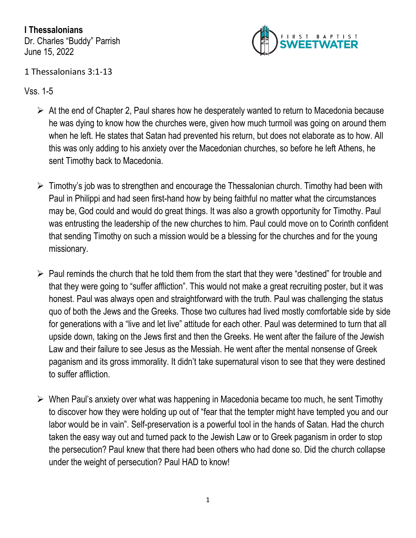**I Thessalonians** Dr. Charles "Buddy" Parrish June 15, 2022



## 1 Thessalonians 3:1-13

Vss. 1-5

- $\triangleright$  At the end of Chapter 2, Paul shares how he desperately wanted to return to Macedonia because he was dying to know how the churches were, given how much turmoil was going on around them when he left. He states that Satan had prevented his return, but does not elaborate as to how. All this was only adding to his anxiety over the Macedonian churches, so before he left Athens, he sent Timothy back to Macedonia.
- $\triangleright$  Timothy's job was to strengthen and encourage the Thessalonian church. Timothy had been with Paul in Philippi and had seen first-hand how by being faithful no matter what the circumstances may be, God could and would do great things. It was also a growth opportunity for Timothy. Paul was entrusting the leadership of the new churches to him. Paul could move on to Corinth confident that sending Timothy on such a mission would be a blessing for the churches and for the young missionary.
- $\triangleright$  Paul reminds the church that he told them from the start that they were "destined" for trouble and that they were going to "suffer affliction". This would not make a great recruiting poster, but it was honest. Paul was always open and straightforward with the truth. Paul was challenging the status quo of both the Jews and the Greeks. Those two cultures had lived mostly comfortable side by side for generations with a "live and let live" attitude for each other. Paul was determined to turn that all upside down, taking on the Jews first and then the Greeks. He went after the failure of the Jewish Law and their failure to see Jesus as the Messiah. He went after the mental nonsense of Greek paganism and its gross immorality. It didn't take supernatural vison to see that they were destined to suffer affliction.
- ➢ When Paul's anxiety over what was happening in Macedonia became too much, he sent Timothy to discover how they were holding up out of "fear that the tempter might have tempted you and our labor would be in vain". Self-preservation is a powerful tool in the hands of Satan. Had the church taken the easy way out and turned pack to the Jewish Law or to Greek paganism in order to stop the persecution? Paul knew that there had been others who had done so. Did the church collapse under the weight of persecution? Paul HAD to know!